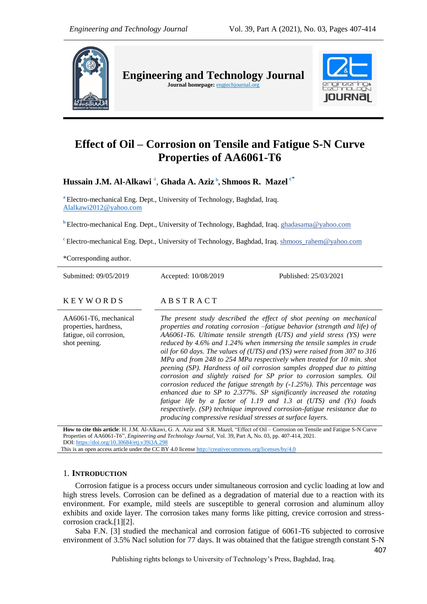

**Engineering and Technology Journal** 

Journal homepage: **engtechjournal.org** 



# **Effect of Oil – Corrosion on Tensile and Fatigue S-N Curve Properties of AA6061-T6**

 $\bold{H}$ ussain J.M. Al-Alkawi <sup>a</sup>, Ghada A. Aziz <sup>b</sup>, Shmoos R. Mazel <sup>c\*</sup>

**<sup>a</sup>** Electro-mechanical Eng. Dept., University of Technology, Baghdad, Iraq. [Alalkawi2012@yahoo.com](mailto:Alalkawi2012@yahoo.com)

**<sup>b</sup>** Electro-mechanical Eng. Dept., University of Technology, Baghdad, Iraq. ghadasama@yahoo.com

<sup>c</sup> Electro-mechanical Eng. Dept., University of Technology, Baghdad, Iraq. shmoos rahem@yahoo.com

\*Corresponding author.

Submitted: 09/05/2019 Accepted: 10/08/2019 Published: 25/03/2021

AA6061-T6, mechanical properties, hardness, fatigue, oil corrosion, shot peening.

K E Y W O R D S A B S T R A C T

*The present study described the effect of shot peening on mechanical properties and rotating corrosion –fatigue behavior (strength and life) of AA6061-T6. Ultimate tensile strength (UTS) and yield stress (YS) were reduced by 4.6% and 1.24% when immersing the tensile samples in crude oil for 60 days. The values of (UTS) and (YS) were raised from 307 to 316 MPa and from 248 to 254 MPa respectively when treated for 10 min. shot peening (SP). Hardness of oil corrosion samples dropped due to pitting corrosion and slightly raised for SP prior to corrosion samples. Oil corrosion reduced the fatigue strength by (-1.25%). This percentage was enhanced due to SP to 2.377%. SP significantly increased the rotating fatigue life by a factor of 1.19 and 1.3 at (UTS) and (Ys) loads respectively. (SP) technique improved corrosion-fatigue resistance due to producing compressive residual stresses at surface layers.*

**How to cite this article**: H. J.M. Al-Alkawi, G. A. Aziz and S.R. Mazel, "Effect of Oil – Corrosion on Tensile and Fatigue S-N Curve Properties of AA6061-T6", *Engineering and Technology Journal*, Vol. 39, Part A, No. 03, pp. 407-414, 2021. DOI: <https://doi.org/10.30684/etj.v39i3A.298>

This is an open access article under the CC BY 4.0 licens[e http://creativecommons.org/licenses/by/4.0](http://creativecommons.org/licenses/by/4.0)

# 1. **INTRODUCTION**

Corrosion fatigue is a process occurs under simultaneous corrosion and cyclic loading at low and high stress levels. Corrosion can be defined as a degradation of material due to a reaction with its environment. For example, mild steels are susceptible to general corrosion and aluminum alloy exhibits and oxide layer. The corrosion takes many forms like pitting, crevice corrosion and stresscorrosion crack.[1][2].

Saba F.N. [3] studied the mechanical and corrosion fatigue of 6061-T6 subjected to corrosive environment of 3.5% Nacl solution for 77 days. It was obtained that the fatigue strength constant S-N

Publishing rights belongs to University of Technology's Press, Baghdad, Iraq.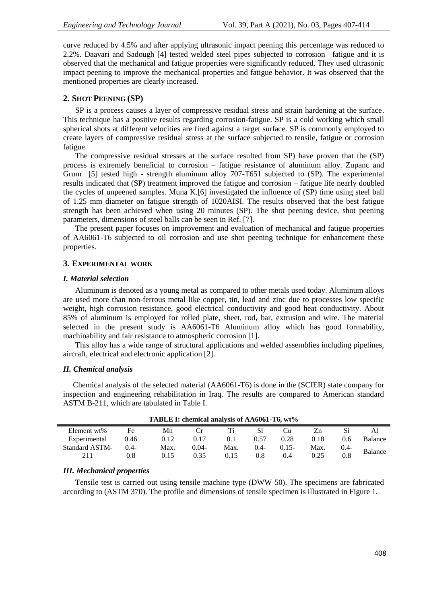curve reduced by 4.5% and after applying ultrasonic impact peening this percentage was reduced to 2.2%. Daavari and Sadough [4] tested welded steel pipes subjected to corrosion –fatigue and it is observed that the mechanical and fatigue properties were significantly reduced. They used ultrasonic impact peening to improve the mechanical properties and fatigue behavior. It was observed that the mentioned properties are clearly increased.

#### **2. SHOT PEENING (SP)**

SP is a process causes a layer of compressive residual stress and strain hardening at the surface. This technique has a positive results regarding corrosion-fatigue. SP is a cold working which small spherical shots at different velocities are fired against a target surface. SP is commonly employed to create layers of compressive residual stress at the surface subjected to tensile, fatigue or corrosion fatigue.

The compressive residual stresses at the surface resulted from SP) have proven that the (SP) process is extremely beneficial to corrosion – fatigue resistance of aluminum alloy. Zupanc and Grum [5] tested high - strength aluminum alloy 707-T651 subjected to (SP). The experimental results indicated that (SP) treatment improved the fatigue and corrosion – fatigue life nearly doubled the cycles of unpeened samples. Muna K.[6] investigated the influence of (SP) time using steel ball of 1.25 mm diameter on fatigue strength of 1020AISI. The results observed that the best fatigue strength has been achieved when using 20 minutes (SP). The shot peening device, shot peening parameters, dimensions of steel balls can be seen in Ref. [7].

The present paper focuses on improvement and evaluation of mechanical and fatigue properties of AA6061-T6 subjected to oil corrosion and use shot peening technique for enhancement these properties.

#### **3. EXPERIMENTAL WORK**

#### *I. Material selection*

Aluminum is denoted as a young metal as compared to other metals used today. Aluminum alloys are used more than non-ferrous metal like copper, tin, lead and zinc due to processes low specific weight, high corrosion resistance, good electrical conductivity and good heat conductivity. About 85% of aluminum is employed for rolled plate, sheet, rod, bar, extrusion and wire. The material selected in the present study is AA6061-T6 Aluminum alloy which has good formability, machinability and fair resistance to atmospheric corrosion [1].

This alloy has a wide range of structural applications and welded assemblies including pipelines, aircraft, electrical and electronic application [2].

#### *II. Chemical analysis*

 Chemical analysis of the selected material (AA6061-T6) is done in the (SCIER) state company for inspection and engineering rehabilitation in Iraq. The results are compared to American standard ASTM B-211, which are tabulated in Table I.

| Element wt%           | Fe      | Mn   |          |      |        |          |      |               | ΑI      |
|-----------------------|---------|------|----------|------|--------|----------|------|---------------|---------|
| Experimental          | 0.46    | 0.12 | 0.17     | 0.1  | 0.57   | 0.28     | 0.18 | $0.6^{\circ}$ | Balance |
| <b>Standard ASTM-</b> | $0.4 -$ | Max. | $0.04 -$ | Max. | $0.4-$ | $0.15 -$ | Max. | $0.4 -$       |         |
|                       |         |      | 0.35     | 0.15 | 0.8    | 0.4      | 0.25 | 0.8           | Balance |
|                       |         |      |          |      |        |          |      |               |         |

**TABLE I: chemical analysis of AA6061-T6, wt%**

#### *III. Mechanical properties*

Tensile test is carried out using tensile machine type (DWW 50). The specimens are fabricated according to (ASTM 370). The profile and dimensions of tensile specimen is illustrated in Figure 1.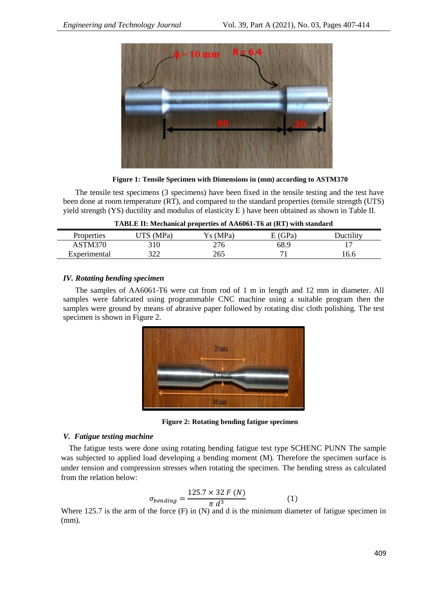

**Figure 1: Tensile Specimen with Dimensions in (mm) according to ASTM370** 

The tensile test specimens (3 specimens) have been fixed in the tensile testing and the test have been done at room temperature (RT), and compared to the standard properties (tensile strength (UTS) yield strength (YS) ductility and modulus of elasticity E ) have been obtained as shown in Table II.

| Properties   | <b>ITS</b> (MPa) | Ys (MPa) | E(GPa) | <b>Ductility</b> |
|--------------|------------------|----------|--------|------------------|
| ASTM370      | 310              | 276      | 68.9   |                  |
| Experimental | 200<br>ے بے ر    | 265      |        | 16.6             |

| TABLE II: Mechanical properties of AA6061-T6 at (RT) with standard |  |  |  |
|--------------------------------------------------------------------|--|--|--|
|--------------------------------------------------------------------|--|--|--|

# *IV. Rotating bending specimen*

The samples of AA6061-T6 were cut from rod of 1 m in length and 12 mm in diameter. All samples were fabricated using programmable CNC machine using a suitable program then the samples were ground by means of abrasive paper followed by rotating disc cloth polishing. The test specimen is shown in Figure 2.



**Figure 2: Rotating bending fatigue specimen**

# *V. Fatigue testing machine*

 The fatigue tests were done using rotating bending fatigue test type SCHENC PUNN The sample was subjected to applied load developing a bending moment (M). Therefore the specimen surface is under tension and compression stresses when rotating the specimen. The bending stress as calculated from the relation below:

$$
\sigma_{bending} = \frac{125.7 \times 32 F (N)}{\pi d^3} \tag{1}
$$

Where 125.7 is the arm of the force (F) in (N) and d is the minimum diameter of fatigue specimen in (mm).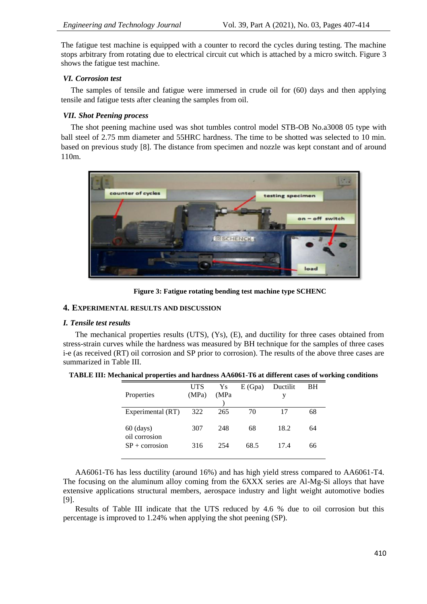The fatigue test machine is equipped with a counter to record the cycles during testing. The machine stops arbitrary from rotating due to electrical circuit cut which is attached by a micro switch. Figure 3 shows the fatigue test machine.

#### *VI. Corrosion test*

 The samples of tensile and fatigue were immersed in crude oil for (60) days and then applying tensile and fatigue tests after cleaning the samples from oil.

### *VII. Shot Peening process*

 The shot peening machine used was shot tumbles control model STB-OB No.a3008 05 type with ball steel of 2.75 mm diameter and 55HRC hardness. The time to be shotted was selected to 10 min. based on previous study [8]. The distance from specimen and nozzle was kept constant and of around 110m.



**Figure 3: Fatigue rotating bending test machine type SCHENC**

#### **4. EXPERIMENTAL RESULTS AND DISCUSSION**

#### *I. Tensile test results*

The mechanical properties results (UTS), (Ys), (E), and ductility for three cases obtained from stress-strain curves while the hardness was measured by BH technique for the samples of three cases i-e (as received (RT) oil corrosion and SP prior to corrosion). The results of the above three cases are summarized in Table III.

| Properties                   | UTS<br>(MPa) | Ys<br>(MPa | E(Gpa) | Ductilit<br>у | BH |
|------------------------------|--------------|------------|--------|---------------|----|
| Experimental (RT)            | 322          | 265        | 70     | 17            | 68 |
| $60$ (days)<br>oil corrosion | 307          | 248        | 68     | 18.2          | 64 |
| $SP + \text{corrosion}$      | 316          | 254        | 68.5   | 17.4          | 66 |

| TABLE III: Mechanical properties and hardness AA6061-T6 at different cases of working conditions |  |
|--------------------------------------------------------------------------------------------------|--|
|--------------------------------------------------------------------------------------------------|--|

AA6061-T6 has less ductility (around 16%) and has high yield stress compared to AA6061-T4. The focusing on the aluminum alloy coming from the 6XXX series are Al-Mg-Si alloys that have extensive applications structural members, aerospace industry and light weight automotive bodies [9].

Results of Table III indicate that the UTS reduced by 4.6 % due to oil corrosion but this percentage is improved to 1.24% when applying the shot peening (SP).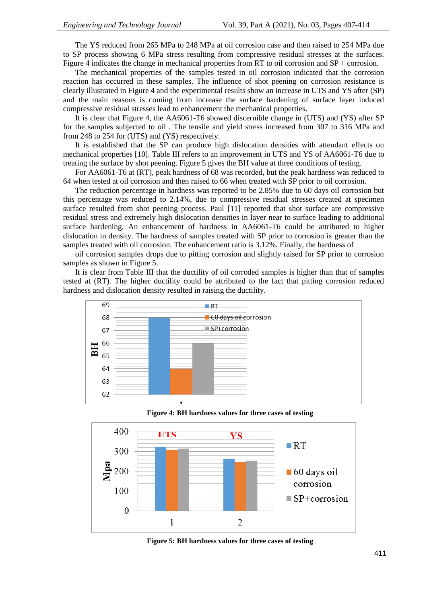The YS reduced from 265 MPa to 248 MPa at oil corrosion case and then raised to 254 MPa due to SP process showing 6 MPa stress resulting from compressive residual stresses at the surfaces. Figure 4 indicates the change in mechanical properties from RT to oil corrosion and SP + corrosion.

The mechanical properties of the samples tested in oil corrosion indicated that the corrosion reaction has occurred in these samples. The influence of shot peening on corrosion resistance is clearly illustrated in Figure 4 and the experimental results show an increase in UTS and YS after (SP) and the main reasons is coming from increase the surface hardening of surface layer induced compressive residual stresses lead to enhancement the mechanical properties.

It is clear that Figure 4, the AA6061-T6 showed discernible change in (UTS) and (YS) after SP for the samples subjected to oil . The tensile and yield stress increased from 307 to 316 MPa and from 248 to 254 for (UTS) and (YS) respectively.

It is established that the SP can produce high dislocation densities with attendant effects on mechanical properties [10]. Table III refers to an improvement in UTS and YS of AA6061-T6 due to treating the surface by shot peening. Figure 5 gives the BH value at three conditions of testing.

For AA6061-T6 at (RT), peak hardness of 68 was recorded, but the peak hardness was reduced to 64 when tested at oil corrosion and then raised to 66 when treated with SP prior to oil corrosion.

The reduction percentage in hardness was reported to be 2.85% due to 60 days oil corrosion but this percentage was reduced to 2.14%, due to compressive residual stresses created at specimen surface resulted from shot peening process. Paul [11] reported that shot surface are compressive residual stress and extremely high dislocation densities in layer near to surface leading to additional surface hardening. An enhancement of hardness in AA6061-T6 could be attributed to higher dislocation in density. The hardness of samples treated with SP prior to corrosion is greater than the samples treated with oil corrosion. The enhancement ratio is 3.12%. Finally, the hardness of

oil corrosion samples drops due to pitting corrosion and slightly raised for SP prior to corrosion samples as shown in Figure 5.

It is clear from Table III that the ductility of oil corroded samples is higher than that of samples tested at (RT). The higher ductility could be attributed to the fact that pitting corrosion reduced hardness and dislocation density resulted in raising the ductility.





**Figure 4: BH hardness values for three cases of testing**

**Figure 5: BH hardness values for three cases of testing**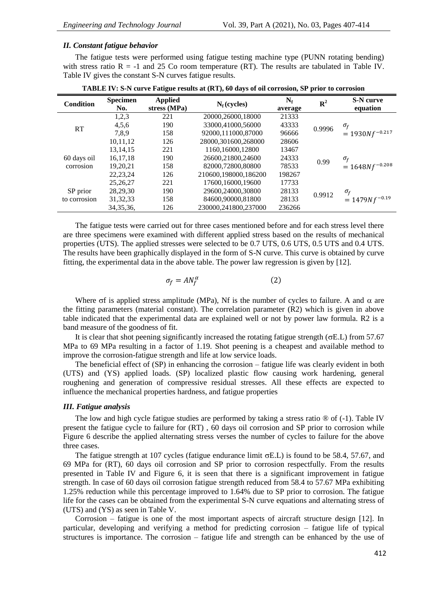#### *II. Constant fatigue behavior*

The fatigue tests were performed using fatigue testing machine type (PUNN rotating bending) with stress ratio  $R = -1$  and 25 Co room temperature (RT). The results are tabulated in Table IV. Table IV gives the constant S-N curves fatigue results.

| <b>Condition</b> | <b>Specimen</b><br>No. | <b>Applied</b><br>stress (MPa) | $N_f$ (cycles)       | $N_f$<br>average | $R^2$  | <b>S-N</b> curve<br>equation |
|------------------|------------------------|--------------------------------|----------------------|------------------|--------|------------------------------|
|                  | 1,2,3                  | 221                            | 20000.26000.18000    | 21333            |        |                              |
| RT               | 4,5,6                  | 190                            | 33000,41000,56000    | 43333            | 0.9996 | $\sigma_{f}$                 |
|                  | 7,8,9                  | 158                            | 92000,111000,87000   | 96666            |        | $= 1930Nf^{-0.217}$          |
|                  | 10,11,12               | 126                            | 28000,301600,268000  | 28606            |        |                              |
|                  | 13.14.15               | 221                            | 1160,16000,12800     | 13467            |        |                              |
| 60 days oil      | 16, 17, 18             | 190                            | 26600,21800,24600    | 24333            |        | $\sigma_{\!f}$               |
| corrosion        | 19,20,21               | 158                            | 82000.72800.80800    | 78533            | 0.99   | $= 1648Nf^{-0.208}$          |
|                  | 22, 23, 24             | 126                            | 210600.198000.186200 | 198267           |        |                              |
|                  | 25, 26, 27             | 221                            | 17600,16000,19600    | 17733            |        |                              |
| SP prior         | 28,29,30               | 190                            | 29600.24000.30800    | 28133            | 0.9912 | $\sigma_{\!f}$               |
| to corrosion     | 31, 32, 33             | 158                            | 84600.90000.81800    | 28133            |        | $= 1479Nf^{-0.19}$           |
|                  | 34, 35, 36,            | 126                            | 230000.241800.237000 | 236266           |        |                              |

**TABLE IV: S-N curve Fatigue results at (RT), 60 days of oil corrosion, SP prior to corrosion**

The fatigue tests were carried out for three cases mentioned before and for each stress level there are three specimens were examined with different applied stress based on the results of mechanical properties (UTS). The applied stresses were selected to be 0.7 UTS, 0.6 UTS, 0.5 UTS and 0.4 UTS. The results have been graphically displayed in the form of S-N curve. This curve is obtained by curve fitting, the experimental data in the above table. The power law regression is given by [12].

$$
\sigma_f = A N_f^{\alpha} \tag{2}
$$

Where  $\sigma f$  is applied stress amplitude (MPa), Nf is the number of cycles to failure. A and  $\alpha$  are the fitting parameters (material constant). The correlation parameter (R2) which is given in above table indicated that the experimental data are explained well or not by power law formula. R2 is a band measure of the goodness of fit.

It is clear that shot peening significantly increased the rotating fatigue strength ( $\sigma$ E.L) from 57.67 MPa to 69 MPa resulting in a factor of 1.19. Shot peening is a cheapest and available method to improve the corrosion-fatigue strength and life at low service loads.

The beneficial effect of (SP) in enhancing the corrosion – fatigue life was clearly evident in both (UTS) and (YS) applied loads. (SP) localized plastic flow causing work hardening, general roughening and generation of compressive residual stresses. All these effects are expected to influence the mechanical properties hardness, and fatigue properties

#### *III. Fatigue analysis*

The low and high cycle fatigue studies are performed by taking a stress ratio  $\circledast$  of (-1). Table IV present the fatigue cycle to failure for (RT) , 60 days oil corrosion and SP prior to corrosion while Figure 6 describe the applied alternating stress verses the number of cycles to failure for the above three cases.

The fatigue strength at 107 cycles (fatigue endurance limit  $\sigma$ E.L) is found to be 58.4, 57.67, and 69 MPa for (RT), 60 days oil corrosion and SP prior to corrosion respectfully. From the results presented in Table IV and Figure 6, it is seen that there is a significant improvement in fatigue strength. In case of 60 days oil corrosion fatigue strength reduced from 58.4 to 57.67 MPa exhibiting 1.25% reduction while this percentage improved to 1.64% due to SP prior to corrosion. The fatigue life for the cases can be obtained from the experimental S-N curve equations and alternating stress of (UTS) and (YS) as seen in Table V.

Corrosion – fatigue is one of the most important aspects of aircraft structure design [12]. In particular, developing and verifying a method for predicting corrosion – fatigue life of typical structures is importance. The corrosion – fatigue life and strength can be enhanced by the use of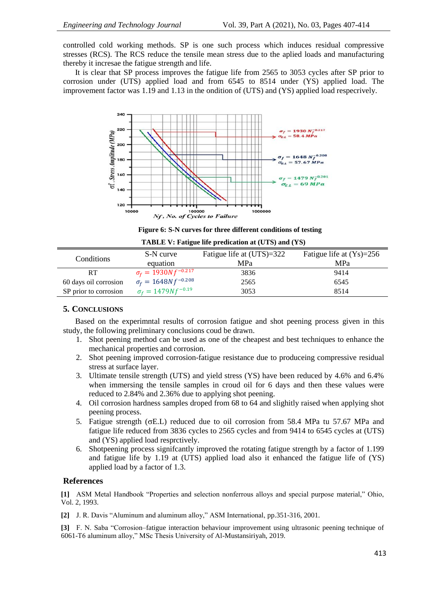controlled cold working methods. SP is one such process which induces residual compressive stresses (RCS). The RCS reduce the tensile mean stress due to the aplied loads and manufacturing thereby it incresae the fatigue strength and life.

It is clear that SP process improves the fatigue life from 2565 to 3053 cycles after SP prior to corrosion under (UTS) applied load and from 6545 to 8514 under (YS) applied load. The improvement factor was 1.19 and 1.13 in the ondition of (UTS) and (YS) applied load respecrively.



**Figure 6: S-N curves for three different conditions of testing**

| Conditions            | S-N curve<br>equation         | Fatigue life at (UTS)=322<br>MPa | Fatigue life at $(Ys)=256$<br>MPa |
|-----------------------|-------------------------------|----------------------------------|-----------------------------------|
| <b>RT</b>             | $\sigma_f = 1930N f^{-0.217}$ | 3836                             | 9414                              |
| 60 days oil corrosion | $\sigma_f = 1648N f^{-0.208}$ | 2565                             | 6545                              |
| SP prior to corrosion | $\sigma_f = 1479Nf^{-0.19}$   | 3053                             | 8514                              |

# **TABLE V: Fatigue life predication at (UTS) and (YS)**

# **5. CONCLUSIONS**

Based on the experimntal results of corrosion fatigue and shot peening process given in this study, the following preliminary conclusions coud be drawn.

- 1. Shot peening method can be used as one of the cheapest and best techniques to enhance the mechanical properties and corrosion.
- 2. Shot peening improved corrosion-fatigue resistance due to produceing compressive residual stress at surface layer.
- 3. Ultimate tensile strength (UTS) and yield stress (YS) have been reduced by 4.6% and 6.4% when immersing the tensile samples in croud oil for 6 days and then these values were reduced to 2.84% and 2.36% due to applying shot peening.
- 4. Oil corrosion hardness samples droped from 68 to 64 and slighitly raised when applying shot peening process.
- 5. Fatigue strength (E.L) reduced due to oil corrosion from 58.4 MPa tu 57.67 MPa and fatigue life reduced from 3836 cycles to 2565 cycles and from 9414 to 6545 cycles at (UTS) and (YS) applied load resprctively.
- 6. Shotpeening process signifcantly improved the rotating fatigue strength by a factor of 1.199 and fatigue life by 1.19 at (UTS) applied load also it enhanced the fatigue life of (YS) applied load by a factor of 1.3.

#### **References**

**[1]** ASM Metal Handbook "Properties and selection nonferrous alloys and special purpose material," Ohio, Vol. 2, 1993.

**[2]** J. R. Davis "Aluminum and aluminum alloy," ASM International, pp.351-316, 2001.

**[3]** F. N. Saba "Corrosion–fatigue interaction behaviour improvement using ultrasonic peening technique of 6061-T6 aluminum alloy," MSc Thesis University of Al-Mustansiriyah, 2019.